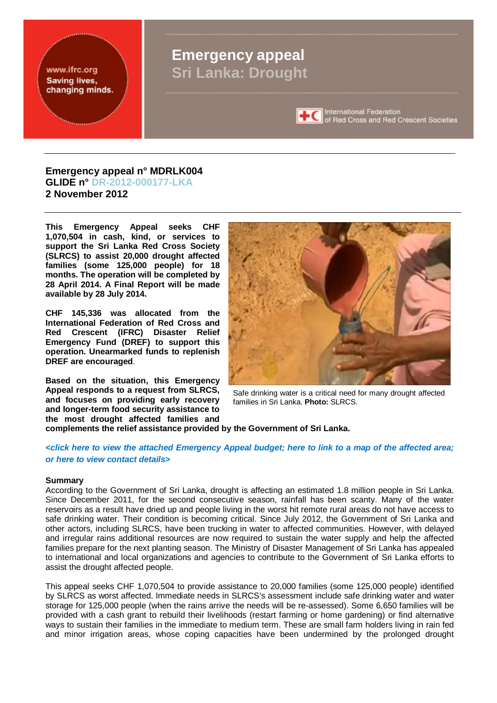

#### **Emergency appeal n° MDRLK004 GLIDE n° DR-2012-000177-LKA 2 November 2012**

**This Emergency Appeal seeks CHF 1,070,504 in cash, kind, or services to support the Sri Lanka Red Cross Society (SLRCS) to assist 20,000 drought affected families (some 125,000 people) for 18 months. The operation will be completed by 28 April 2014. A Final Report will be made available by 28 July 2014.** 

**CHF 145,336 was allocated from the International Federation of Red Cross and Red Crescent (IFRC) Disaster Relief Emergency Fund (DREF) to support this operation. Unearmarked funds to replenish DREF are encouraged**.

**Based on the situation, this Emergency Appeal responds to a request from SLRCS, and focuses on providing early recovery and longer-term food security assistance to the most drought affected families and** 



Safe drinking water is a critical need for many drought affected families in Sri Lanka. **Photo:** SLRCS.

**complements the relief assistance provided by the Government of Sri Lanka.** 

#### <click here to view the attached [Emergency](#page-8-0) Appeal budget; here to link to a map of the [affected](#page-9-0) area; *or here [to view contact details>](#page-7-0)*

#### **Summary**

According to the Government of Sri Lanka, drought is affecting an estimated 1.8 million people in Sri Lanka. Since December 2011, for the second consecutive season, rainfall has been scanty. Many of the water reservoirs as a result have dried up and people living in the worst hit remote rural areas do not have access to safe drinking water. Their condition is becoming critical. Since July 2012, the Government of Sri Lanka and other actors, including SLRCS, have been trucking in water to affected communities. However, with delayed and irregular rains additional resources are now required to sustain the water supply and help the affected families prepare for the next planting season. The Ministry of Disaster Management of Sri Lanka has appealed to international and local organizations and agencies to contribute to the Government of Sri Lanka efforts to assist the drought affected people.

This appeal seeks CHF 1,070,504 to provide assistance to 20,000 families (some 125,000 people) identified by SLRCS as worst affected. Immediate needs in SLRCS's assessment include safe drinking water and water storage for 125,000 people (when the rains arrive the needs will be re-assessed). Some 6,650 families will be provided with a cash grant to rebuild their livelihoods (restart farming or home gardening) or find alternative ways to sustain their families in the immediate to medium term. These are small farm holders living in rain fed and minor irrigation areas, whose coping capacities have been undermined by the prolonged drought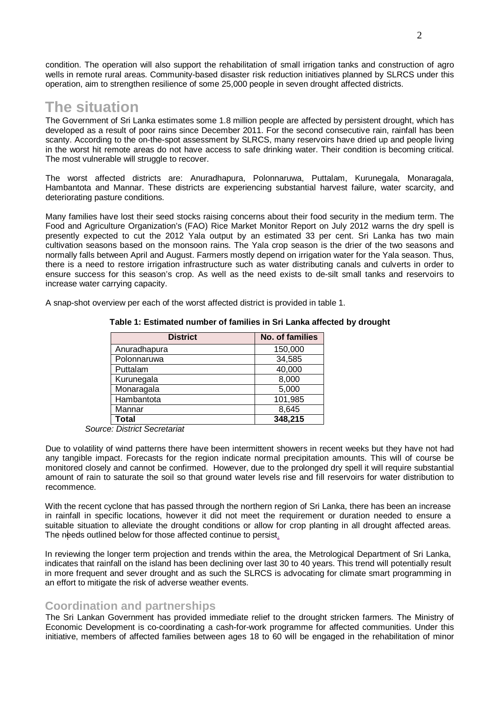condition. The operation will also support the rehabilitation of small irrigation tanks and construction of agro wells in remote rural areas. Community-based disaster risk reduction initiatives planned by SLRCS under this operation, aim to strengthen resilience of some 25,000 people in seven drought affected districts.

## **The situation**

The Government of Sri Lanka estimates some 1.8 million people are affected by persistent drought, which has developed as a result of poor rains since December 2011. For the second consecutive rain, rainfall has been scanty. According to the on-the-spot assessment by SLRCS, many reservoirs have dried up and people living in the worst hit remote areas do not have access to safe drinking water. Their condition is becoming critical. The most vulnerable will struggle to recover.

The worst affected districts are: Anuradhapura, Polonnaruwa, Puttalam, Kurunegala, Monaragala, Hambantota and Mannar. These districts are experiencing substantial harvest failure, water scarcity, and deteriorating pasture conditions.

Many families have lost their seed stocks raising concerns about their food security in the medium term. The Food and Agriculture Organization's (FAO) Rice Market Monitor Report on July 2012 warns the dry spell is presently expected to cut the 2012 Yala output by an estimated 33 per cent. Sri Lanka has two main cultivation seasons based on the monsoon rains. The Yala crop season is the drier of the two seasons and normally falls between April and August. Farmers mostly depend on irrigation water for the Yala season. Thus, there is a need to restore irrigation infrastructure such as water distributing canals and culverts in order to ensure success for this season's crop. As well as the need exists to de-silt small tanks and reservoirs to increase water carrying capacity.

A snap-shot overview per each of the worst affected district is provided in table 1.

| <b>District</b> | No. of families |
|-----------------|-----------------|
| Anuradhapura    | 150,000         |
| Polonnaruwa     | 34,585          |
| Puttalam        | 40,000          |
| Kurunegala      | 8,000           |
| Monaragala      | 5,000           |
| Hambantota      | 101,985         |
| Mannar          | 8,645           |
| <b>Total</b>    | 348,215         |

#### **Table 1: Estimated number of families in Sri Lanka affected by drought**

 *Source: District Secretariat* 

Due to volatility of wind patterns there have been intermittent showers in recent weeks but they have not had any tangible impact. Forecasts for the region indicate normal precipitation amounts. This will of course be monitored closely and cannot be confirmed. However, due to the prolonged dry spell it will require substantial amount of rain to saturate the soil so that ground water levels rise and fill reservoirs for water distribution to recommence.

With the recent cyclone that has passed through the northern region of Sri Lanka, there has been an increase in rainfall in specific locations, however it did not meet the requirement or duration needed to ensure a suitable situation to alleviate the drought conditions or allow for crop planting in all drought affected areas. The needs outlined below for those affected continue to persist.

In reviewing the longer term projection and trends within the area, the Metrological Department of Sri Lanka, indicates that rainfall on the island has been declining over last 30 to 40 years. This trend will potentially result in more frequent and sever drought and as such the SLRCS is advocating for climate smart programming in an effort to mitigate the risk of adverse weather events.

#### **Coordination and partnerships**

The Sri Lankan Government has provided immediate relief to the drought stricken farmers. The Ministry of Economic Development is co-coordinating a cash-for-work programme for affected communities. Under this initiative, members of affected families between ages 18 to 60 will be engaged in the rehabilitation of minor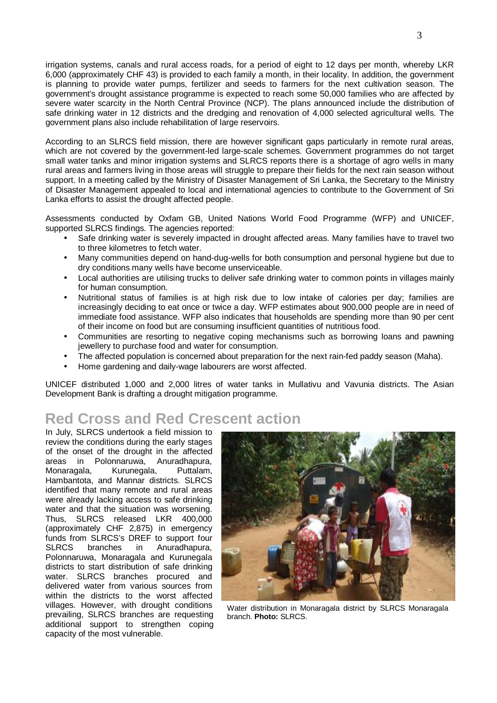irrigation systems, canals and rural access roads, for a period of eight to 12 days per month, whereby LKR 6,000 (approximately CHF 43) is provided to each family a month, in their locality. In addition, the government is planning to provide water pumps, fertilizer and seeds to farmers for the next cultivation season. The government's drought assistance programme is expected to reach some 50,000 families who are affected by severe water scarcity in the North Central Province (NCP). The plans announced include the distribution of safe drinking water in 12 districts and the dredging and renovation of 4,000 selected agricultural wells. The government plans also include rehabilitation of large reservoirs.

According to an SLRCS field mission, there are however significant gaps particularly in remote rural areas, which are not covered by the government-led large-scale schemes. Government programmes do not target small water tanks and minor irrigation systems and SLRCS reports there is a shortage of agro wells in many rural areas and farmers living in those areas will struggle to prepare their fields for the next rain season without support. In a meeting called by the Ministry of Disaster Management of Sri Lanka, the Secretary to the Ministry of Disaster Management appealed to local and international agencies to contribute to the Government of Sri Lanka efforts to assist the drought affected people.

Assessments conducted by Oxfam GB, United Nations World Food Programme (WFP) and UNICEF, supported SLRCS findings. The agencies reported:

- Safe drinking water is severely impacted in drought affected areas. Many families have to travel two to three kilometres to fetch water.
- Many communities depend on hand-dug-wells for both consumption and personal hygiene but due to dry conditions many wells have become unserviceable.
- Local authorities are utilising trucks to deliver safe drinking water to common points in villages mainly for human consumption.
- Nutritional status of families is at high risk due to low intake of calories per day; families are increasingly deciding to eat once or twice a day. WFP estimates about 900,000 people are in need of immediate food assistance. WFP also indicates that households are spending more than 90 per cent of their income on food but are consuming insufficient quantities of nutritious food.
- Communities are resorting to negative coping mechanisms such as borrowing loans and pawning jewellery to purchase food and water for consumption.
- The affected population is concerned about preparation for the next rain-fed paddy season (Maha).
- Home gardening and daily-wage labourers are worst affected.

UNICEF distributed 1,000 and 2,000 litres of water tanks in Mullativu and Vavunia districts. The Asian Development Bank is drafting a drought mitigation programme.

## **Red Cross and Red Crescent action**

In July, SLRCS undertook a field mission to review the conditions during the early stages of the onset of the drought in the affected areas in Polonnaruwa, Anuradhapura, Monaragala, Kurunegala, Puttalam, Hambantota, and Mannar districts. SLRCS identified that many remote and rural areas were already lacking access to safe drinking water and that the situation was worsening. Thus, SLRCS released LKR 400,000 (approximately CHF 2,875) in emergency funds from SLRCS's DREF to support four SLRCS branches in Anuradhapura, Polonnaruwa, Monaragala and Kurunegala districts to start distribution of safe drinking water. SLRCS branches procured and delivered water from various sources from within the districts to the worst affected villages. However, with drought conditions prevailing, SLRCS branches are requesting additional support to strengthen coping capacity of the most vulnerable.



Water distribution in Monaragala district by SLRCS Monaragala branch. **Photo:** SLRCS.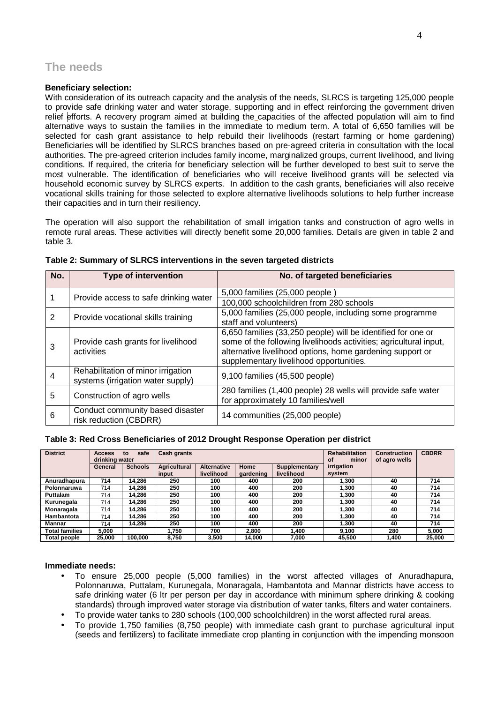### **The needs**

#### **Beneficiary selection:**

With consideration of its outreach capacity and the analysis of the needs. SLRCS is targeting 125,000 people to provide safe drinking water and water storage, supporting and in effect reinforcing the government driven relief efforts. A recovery program aimed at building the capacities of the affected population will aim to find alternative ways to sustain the families in the immediate to medium term. A total of 6,650 families will be selected for cash grant assistance to help rebuild their livelihoods (restart farming or home gardening) Beneficiaries will be identified by SLRCS branches based on pre-agreed criteria in consultation with the local authorities. The pre-agreed criterion includes family income, marginalized groups, current livelihood, and living conditions. If required, the criteria for beneficiary selection will be further developed to best suit to serve the most vulnerable. The identification of beneficiaries who will receive livelihood grants will be selected via household economic survey by SLRCS experts. In addition to the cash grants, beneficiaries will also receive vocational skills training for those selected to explore alternative livelihoods solutions to help further increase their capacities and in turn their resiliency.

The operation will also support the rehabilitation of small irrigation tanks and construction of agro wells in remote rural areas. These activities will directly benefit some 20,000 families. Details are given in table 2 and table 3.

| No. | <b>Type of intervention</b>                                             | No. of targeted beneficiaries                                                                                                                                                                                                             |
|-----|-------------------------------------------------------------------------|-------------------------------------------------------------------------------------------------------------------------------------------------------------------------------------------------------------------------------------------|
|     | Provide access to safe drinking water                                   | 5,000 families (25,000 people)                                                                                                                                                                                                            |
|     |                                                                         | 100,000 schoolchildren from 280 schools                                                                                                                                                                                                   |
| 2   | Provide vocational skills training                                      | 5,000 families (25,000 people, including some programme<br>staff and volunteers)                                                                                                                                                          |
| 3   | Provide cash grants for livelihood<br>activities                        | 6,650 families (33,250 people) will be identified for one or<br>some of the following livelihoods activities; agricultural input,<br>alternative livelihood options, home gardening support or<br>supplementary livelihood opportunities. |
| 4   | Rehabilitation of minor irrigation<br>systems (irrigation water supply) | 9,100 families (45,500 people)                                                                                                                                                                                                            |
| 5   | Construction of agro wells                                              | 280 families (1,400 people) 28 wells will provide safe water<br>for approximately 10 families/well                                                                                                                                        |
| 6   | Conduct community based disaster<br>risk reduction (CBDRR)              | 14 communities (25,000 people)                                                                                                                                                                                                            |

| Table 2: Summary of SLRCS interventions in the seven targeted districts |  |  |  |  |
|-------------------------------------------------------------------------|--|--|--|--|
|-------------------------------------------------------------------------|--|--|--|--|

#### **Table 3: Red Cross Beneficiaries of 2012 Drought Response Operation per district**

| <b>District</b> | <b>Access</b>  | safe<br>to     | <b>Cash grants</b>  |                    |           | <b>Rehabilitation</b> | <b>Construction</b> | <b>CBDRR</b>  |        |
|-----------------|----------------|----------------|---------------------|--------------------|-----------|-----------------------|---------------------|---------------|--------|
|                 | drinking water |                |                     |                    |           |                       | of<br>minor         | of agro wells |        |
|                 | General        | <b>Schools</b> | <b>Agricultural</b> | <b>Alternative</b> | Home      | Supplementary         | irrigation          |               |        |
|                 |                |                | input               | livelihood         | gardening | livelihood            | system              |               |        |
| Anuradhapura    | 714            | 14.286         | 250                 | 100                | 400       | 200                   | 1.300               | 40            | 714    |
| Polonnaruwa     | 714            | 14.286         | 250                 | 100                | 400       | 200                   | 1.300               | 40            | 714    |
| <b>Puttalam</b> | 714            | 14.286         | 250                 | 100                | 400       | 200                   | 1.300               | 40            | 714    |
| Kurunegala      | 714            | 14.286         | 250                 | 100                | 400       | 200                   | 1.300               | 40            | 714    |
| Monaragala      | 714            | 14.286         | 250                 | 100                | 400       | 200                   | 1.300               | 40            | 714    |
| Hambantota      | 714            | 14.286         | 250                 | 100                | 400       | 200                   | 1.300               | 40            | 714    |
| Mannar          | 714            | 14.286         | 250                 | 100                | 400       | 200                   | 1.300               | 40            | 714    |
| Total families  | 5.000          |                | 1.750               | 700                | 2.800     | 1.400                 | 9.100               | 280           | 5,000  |
| Total people    | 25.000         | 100.000        | 8.750               | 3.500              | 14.000    | 7.000                 | 45.500              | 1.400         | 25.000 |

#### **Immediate needs:**

- To ensure 25,000 people (5,000 families) in the worst affected villages of Anuradhapura, Polonnaruwa, Puttalam, Kurunegala, Monaragala, Hambantota and Mannar districts have access to safe drinking water (6 ltr per person per day in accordance with minimum sphere drinking & cooking standards) through improved water storage via distribution of water tanks, filters and water containers.
- To provide water tanks to 280 schools (100,000 schoolchildren) in the worst affected rural areas.
- To provide 1,750 families (8,750 people) with immediate cash grant to purchase agricultural input (seeds and fertilizers) to facilitate immediate crop planting in conjunction with the impending monsoon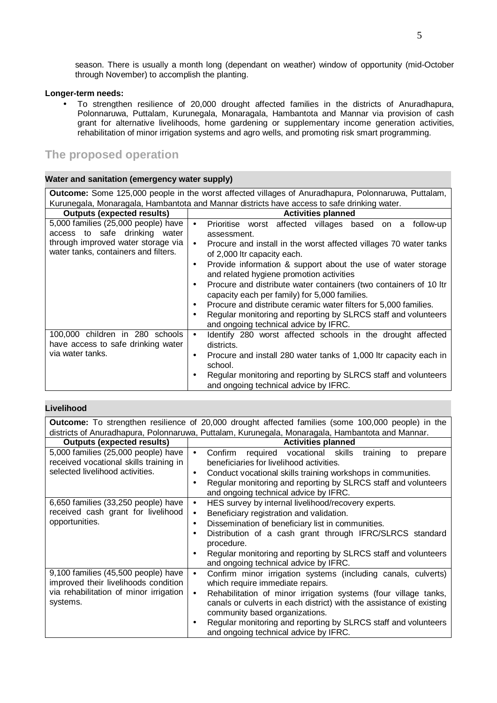season. There is usually a month long (dependant on weather) window of opportunity (mid-October through November) to accomplish the planting.

#### **Longer-term needs:**

• To strengthen resilience of 20,000 drought affected families in the districts of Anuradhapura, Polonnaruwa, Puttalam, Kurunegala, Monaragala, Hambantota and Mannar via provision of cash grant for alternative livelihoods, home gardening or supplementary income generation activities, rehabilitation of minor irrigation systems and agro wells, and promoting risk smart programming.

## **The proposed operation**

#### **Water and sanitation (emergency water supply)**

| <b>Outcome:</b> Some 125,000 people in the worst affected villages of Anuradhapura, Polonnaruwa, Puttalam,                                         |                                                                                                                                                                                                                                                                                                                                                                                                                                                                                                                                                                                           |  |  |  |  |  |
|----------------------------------------------------------------------------------------------------------------------------------------------------|-------------------------------------------------------------------------------------------------------------------------------------------------------------------------------------------------------------------------------------------------------------------------------------------------------------------------------------------------------------------------------------------------------------------------------------------------------------------------------------------------------------------------------------------------------------------------------------------|--|--|--|--|--|
| Kurunegala, Monaragala, Hambantota and Mannar districts have access to safe drinking water.                                                        |                                                                                                                                                                                                                                                                                                                                                                                                                                                                                                                                                                                           |  |  |  |  |  |
| <b>Outputs (expected results)</b>                                                                                                                  | <b>Activities planned</b>                                                                                                                                                                                                                                                                                                                                                                                                                                                                                                                                                                 |  |  |  |  |  |
| 5,000 families (25,000 people) have<br>access to safe drinking water<br>through improved water storage via<br>water tanks, containers and filters. | Prioritise worst affected villages based on a<br>follow-up<br>$\bullet$<br>assessment.<br>Procure and install in the worst affected villages 70 water tanks<br>$\bullet$<br>of 2,000 ltr capacity each.<br>Provide information & support about the use of water storage<br>٠<br>and related hygiene promotion activities<br>Procure and distribute water containers (two containers of 10 ltr<br>٠<br>capacity each per family) for 5,000 families.<br>Procure and distribute ceramic water filters for 5,000 families.<br>Regular monitoring and reporting by SLRCS staff and volunteers |  |  |  |  |  |
| 100,000 children in 280 schools<br>have access to safe drinking water<br>via water tanks.                                                          | Identify 280 worst affected schools in the drought affected<br>$\bullet$<br>districts.<br>Procure and install 280 water tanks of 1,000 ltr capacity each in<br>٠<br>school.<br>Regular monitoring and reporting by SLRCS staff and volunteers<br>٠<br>and ongoing technical advice by IFRC.                                                                                                                                                                                                                                                                                               |  |  |  |  |  |

#### **Livelihood**

| <b>Outcome:</b> To strengthen resilience of 20,000 drought affected families (some 100,000 people) in the |                                                                                 |  |  |  |  |  |
|-----------------------------------------------------------------------------------------------------------|---------------------------------------------------------------------------------|--|--|--|--|--|
| districts of Anuradhapura, Polonnaruwa, Puttalam, Kurunegala, Monaragala, Hambantota and Mannar.          |                                                                                 |  |  |  |  |  |
| <b>Outputs (expected results)</b>                                                                         | <b>Activities planned</b>                                                       |  |  |  |  |  |
| 5,000 families (25,000 people) have                                                                       | required vocational skills<br>Confirm<br>training<br>$\bullet$<br>to<br>prepare |  |  |  |  |  |
| received vocational skills training in                                                                    | beneficiaries for livelihood activities.                                        |  |  |  |  |  |
| selected livelihood activities.                                                                           | Conduct vocational skills training workshops in communities.<br>$\bullet$       |  |  |  |  |  |
|                                                                                                           | Regular monitoring and reporting by SLRCS staff and volunteers<br>$\bullet$     |  |  |  |  |  |
|                                                                                                           | and ongoing technical advice by IFRC.                                           |  |  |  |  |  |
| 6,650 families (33,250 people) have                                                                       | HES survey by internal livelihood/recovery experts.<br>$\bullet$                |  |  |  |  |  |
| received cash grant for livelihood                                                                        | Beneficiary registration and validation.<br>$\bullet$                           |  |  |  |  |  |
| opportunities.                                                                                            | Dissemination of beneficiary list in communities.<br>$\bullet$                  |  |  |  |  |  |
|                                                                                                           | Distribution of a cash grant through IFRC/SLRCS standard<br>$\bullet$           |  |  |  |  |  |
|                                                                                                           | procedure.                                                                      |  |  |  |  |  |
|                                                                                                           | Regular monitoring and reporting by SLRCS staff and volunteers<br>$\bullet$     |  |  |  |  |  |
|                                                                                                           | and ongoing technical advice by IFRC.                                           |  |  |  |  |  |
| 9,100 families (45,500 people) have                                                                       | Confirm minor irrigation systems (including canals, culverts)<br>$\bullet$      |  |  |  |  |  |
| improved their livelihoods condition                                                                      | which require immediate repairs.                                                |  |  |  |  |  |
| via rehabilitation of minor irrigation                                                                    | Rehabilitation of minor irrigation systems (four village tanks,<br>$\bullet$    |  |  |  |  |  |
| systems.                                                                                                  | canals or culverts in each district) with the assistance of existing            |  |  |  |  |  |
|                                                                                                           | community based organizations.                                                  |  |  |  |  |  |
|                                                                                                           | Regular monitoring and reporting by SLRCS staff and volunteers<br>$\bullet$     |  |  |  |  |  |
|                                                                                                           | and ongoing technical advice by IFRC.                                           |  |  |  |  |  |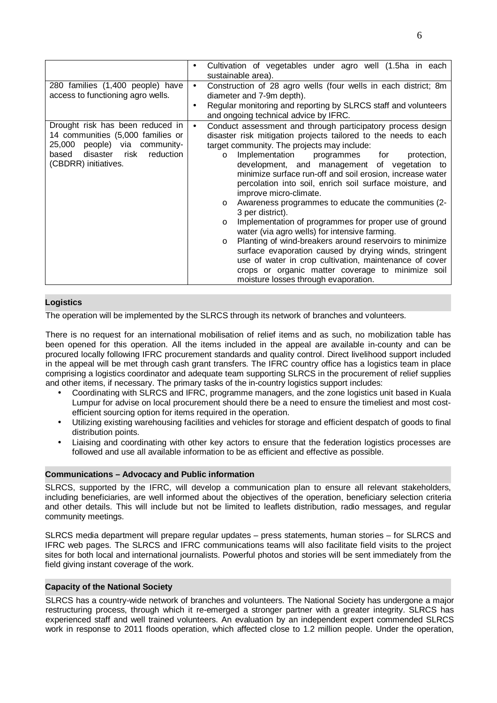|                                                                                                                                                                          | Cultivation of vegetables under agro well (1.5ha in each<br>٠<br>sustainable area).                                                                                                                                                                                                                                                                                                                                                                                                                                                                                                                                                                                                                                                                                                                                                                                                                                                                       |  |  |
|--------------------------------------------------------------------------------------------------------------------------------------------------------------------------|-----------------------------------------------------------------------------------------------------------------------------------------------------------------------------------------------------------------------------------------------------------------------------------------------------------------------------------------------------------------------------------------------------------------------------------------------------------------------------------------------------------------------------------------------------------------------------------------------------------------------------------------------------------------------------------------------------------------------------------------------------------------------------------------------------------------------------------------------------------------------------------------------------------------------------------------------------------|--|--|
| 280 families (1,400 people) have<br>access to functioning agro wells.                                                                                                    | Construction of 28 agro wells (four wells in each district; 8m<br>diameter and 7-9m depth).<br>Regular monitoring and reporting by SLRCS staff and volunteers<br>and ongoing technical advice by IFRC.                                                                                                                                                                                                                                                                                                                                                                                                                                                                                                                                                                                                                                                                                                                                                    |  |  |
| Drought risk has been reduced in<br>14 communities (5,000 families or<br>25,000 people) via community-<br>disaster<br>reduction<br>based<br>risk<br>(CBDRR) initiatives. | Conduct assessment and through participatory process design<br>$\bullet$<br>disaster risk mitigation projects tailored to the needs to each<br>target community. The projects may include:<br>Implementation programmes for<br>protection,<br>$\circ$<br>development, and management of vegetation to<br>minimize surface run-off and soil erosion, increase water<br>percolation into soil, enrich soil surface moisture, and<br>improve micro-climate.<br>Awareness programmes to educate the communities (2-<br>$\circ$<br>3 per district).<br>Implementation of programmes for proper use of ground<br>$\circ$<br>water (via agro wells) for intensive farming.<br>Planting of wind-breakers around reservoirs to minimize<br>$\circ$<br>surface evaporation caused by drying winds, stringent<br>use of water in crop cultivation, maintenance of cover<br>crops or organic matter coverage to minimize soil<br>moisture losses through evaporation. |  |  |

#### **Logistics**

The operation will be implemented by the SLRCS through its network of branches and volunteers.

There is no request for an international mobilisation of relief items and as such, no mobilization table has been opened for this operation. All the items included in the appeal are available in-county and can be procured locally following IFRC procurement standards and quality control. Direct livelihood support included in the appeal will be met through cash grant transfers. The IFRC country office has a logistics team in place comprising a logistics coordinator and adequate team supporting SLRCS in the procurement of relief supplies and other items, if necessary. The primary tasks of the in-country logistics support includes:

- Coordinating with SLRCS and IFRC, programme managers, and the zone logistics unit based in Kuala Lumpur for advise on local procurement should there be a need to ensure the timeliest and most costefficient sourcing option for items required in the operation.
- Utilizing existing warehousing facilities and vehicles for storage and efficient despatch of goods to final distribution points.
- Liaising and coordinating with other key actors to ensure that the federation logistics processes are followed and use all available information to be as efficient and effective as possible.

#### **Communications – Advocacy and Public information**

SLRCS, supported by the IFRC, will develop a communication plan to ensure all relevant stakeholders, including beneficiaries, are well informed about the objectives of the operation, beneficiary selection criteria and other details. This will include but not be limited to leaflets distribution, radio messages, and regular community meetings.

SLRCS media department will prepare regular updates – press statements, human stories – for SLRCS and IFRC web pages. The SLRCS and IFRC communications teams will also facilitate field visits to the project sites for both local and international journalists. Powerful photos and stories will be sent immediately from the field giving instant coverage of the work.

#### **Capacity of the National Society**

SLRCS has a country-wide network of branches and volunteers. The National Society has undergone a major restructuring process, through which it re-emerged a stronger partner with a greater integrity. SLRCS has experienced staff and well trained volunteers. An evaluation by an independent expert commended SLRCS work in response to 2011 floods operation, which affected close to 1.2 million people. Under the operation,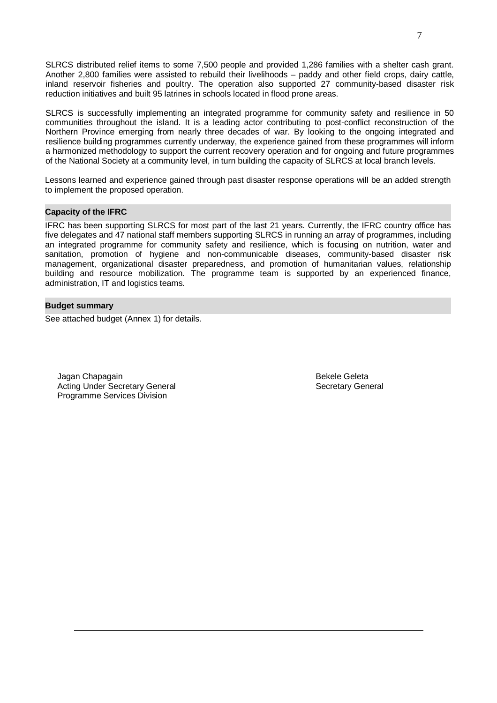SLRCS distributed relief items to some 7,500 people and provided 1,286 families with a shelter cash grant. Another 2,800 families were assisted to rebuild their livelihoods – paddy and other field crops, dairy cattle, inland reservoir fisheries and poultry. The operation also supported 27 community-based disaster risk reduction initiatives and built 95 latrines in schools located in flood prone areas.

SLRCS is successfully implementing an integrated programme for community safety and resilience in 50 communities throughout the island. It is a leading actor contributing to post-conflict reconstruction of the Northern Province emerging from nearly three decades of war. By looking to the ongoing integrated and resilience building programmes currently underway, the experience gained from these programmes will inform a harmonized methodology to support the current recovery operation and for ongoing and future programmes of the National Society at a community level, in turn building the capacity of SLRCS at local branch levels.

Lessons learned and experience gained through past disaster response operations will be an added strength to implement the proposed operation.

#### **Capacity of the IFRC**

IFRC has been supporting SLRCS for most part of the last 21 years. Currently, the IFRC country office has five delegates and 47 national staff members supporting SLRCS in running an array of programmes, including an integrated programme for community safety and resilience, which is focusing on nutrition, water and sanitation, promotion of hygiene and non-communicable diseases, community-based disaster risk management, organizational disaster preparedness, and promotion of humanitarian values, relationship building and resource mobilization. The programme team is supported by an experienced finance, administration, IT and logistics teams.

#### **Budget summary**

See attached budget (Annex 1) for details.

Jagan Chapagain Bekele Geleta Acting Under Secretary General Secretary General Secretary General Secretary General Programme Services Division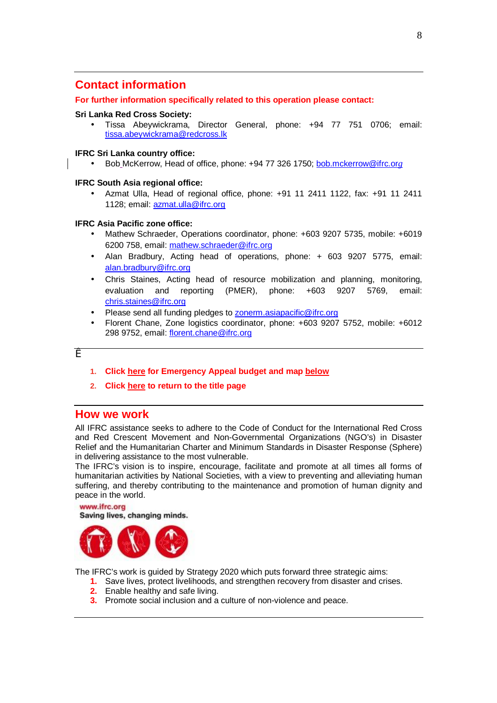## <span id="page-7-0"></span>**Contact information**

#### **For further information specifically related to this operation please contact:**

#### **Sri Lanka Red Cross Society:**

• Tissa Abeywickrama, Director General, phone: +94 77 751 0706; email: [tissa.abeywickrama@redcross.lk](mailto:tissa.abeywickrama@redcross.lk) 

#### **IFRC Sri Lanka country office:**

• Bob McKerrow, Head of office, phone: +94 77 326 1750; [bob.mckerrow@ifrc.or](mailto:bob.mckerrow@ifrc.or)*g* 

#### **IFRC South Asia regional office:**

• Azmat Ulla, Head of regional office, phone: +91 11 2411 1122, fax: +91 11 2411 1128; email: [azmat.ulla@ifrc.org](mailto:azmat.ulla@ifrc.org) 

#### **IFRC Asia Pacific zone office:**

- Mathew Schraeder, Operations coordinator, phone: +603 9207 5735, mobile: +6019 6200 758, email: [mathew.schraeder@ifrc.org](mailto:mathew.schraeder@ifrc.org)
- Alan Bradbury, Acting head of operations, phone: + 603 9207 5775, email: [alan.bradbury@ifrc.org](mailto:alan.bradbury@ifrc.org)
- Chris Staines, Acting head of resource mobilization and planning, monitoring, evaluation and reporting (PMER), phone: +603 9207 5769, email: [chris.staines@ifrc.org](mailto:chris.staines@ifrc.org)
- Please send all funding pledges to **zonerm.asiapacific@ifrc.org**
- Florent Chane, Zone logistics coordinator, phone: +603 9207 5752, mobile: +6012 298 9752, email: [florent.chane@ifrc.org](mailto:florent.chane@ifrc.org)

#### æ

- **1. Click here for Emergency Appeal budget and map below**
- **2. Click here to return to the title page**

#### **How we work**

All IFRC assistance seeks to adhere to the Code of Conduct for the International Red Cross and Red Crescent Movement and Non-Governmental Organizations (NGO's) in Disaster Relief and the Humanitarian Charter and Minimum Standards in Disaster Response (Sphere) in delivering assistance to the most vulnerable.

The IFRC's vision is to inspire, encourage, facilitate and promote at all times all forms of humanitarian activities by National Societies, with a view to preventing and alleviating human suffering, and thereby contributing to the maintenance and promotion of human dignity and peace in the world.

#### www.ifrc.org Saving lives, changing minds.



The IFRC's work is guided by Strategy 2020 which puts forward three strategic aims:

- **1.** Save lives, protect livelihoods, and strengthen recovery from disaster and crises.
	- **2.** Enable healthy and safe living.
	- **3.** Promote social inclusion and a culture of non-violence and peace.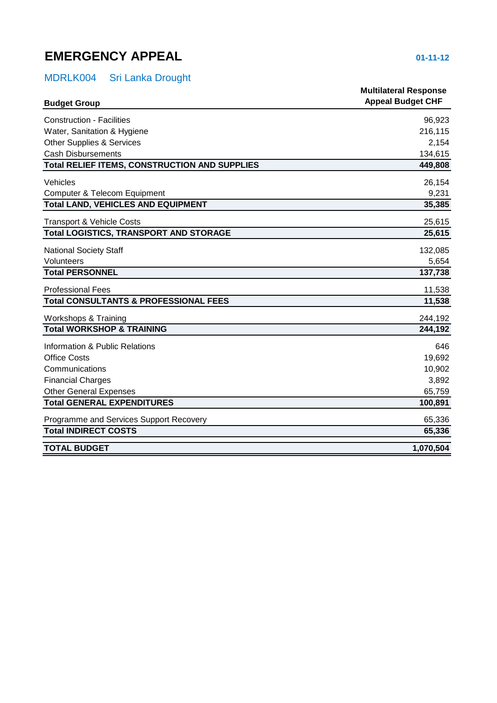## <span id="page-8-0"></span>**EMERGENCY APPEAL 01-11-12**

## MDRLK004 Sri Lanka Drought

| <b>Budget Group</b>                                  | <b>Multilateral Response</b><br><b>Appeal Budget CHF</b> |
|------------------------------------------------------|----------------------------------------------------------|
| <b>Construction - Facilities</b>                     | 96,923                                                   |
| Water, Sanitation & Hygiene                          | 216,115                                                  |
| <b>Other Supplies &amp; Services</b>                 | 2,154                                                    |
| <b>Cash Disbursements</b>                            | 134,615                                                  |
| <b>Total RELIEF ITEMS, CONSTRUCTION AND SUPPLIES</b> | 449,808                                                  |
| Vehicles                                             | 26,154                                                   |
| Computer & Telecom Equipment                         | 9,231                                                    |
| <b>Total LAND, VEHICLES AND EQUIPMENT</b>            | 35,385                                                   |
| <b>Transport &amp; Vehicle Costs</b>                 | 25,615                                                   |
| <b>Total LOGISTICS, TRANSPORT AND STORAGE</b>        | 25,615                                                   |
| <b>National Society Staff</b>                        | 132,085                                                  |
| Volunteers                                           | 5,654                                                    |
| <b>Total PERSONNEL</b>                               | 137,738                                                  |
| <b>Professional Fees</b>                             | 11,538                                                   |
| <b>Total CONSULTANTS &amp; PROFESSIONAL FEES</b>     | 11,538                                                   |
| Workshops & Training                                 | 244,192                                                  |
| <b>Total WORKSHOP &amp; TRAINING</b>                 | 244,192                                                  |
| Information & Public Relations                       | 646                                                      |
| <b>Office Costs</b>                                  | 19,692                                                   |
| Communications                                       | 10,902                                                   |
| <b>Financial Charges</b>                             | 3,892                                                    |
| <b>Other General Expenses</b>                        | 65,759                                                   |
| <b>Total GENERAL EXPENDITURES</b>                    | 100,891                                                  |
| Programme and Services Support Recovery              | 65,336                                                   |
| <b>Total INDIRECT COSTS</b>                          | 65,336                                                   |
| <b>TOTAL BUDGET</b>                                  | 1,070,504                                                |